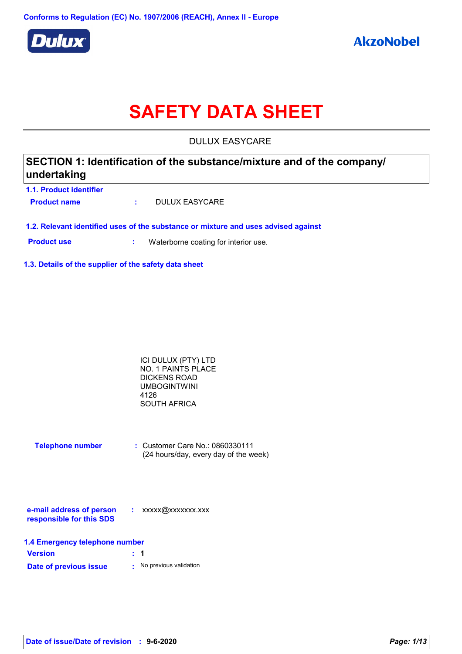

# **SAFETY DATA SHEET**

DULUX EASYCARE

### **SECTION 1: Identification of the substance/mixture and of the company/ undertaking**

**1.1. Product identifier Product name :** DULUX EASYCARE

**1.2. Relevant identified uses of the substance or mixture and uses advised against**

**Product use <b>:** Waterborne coating for interior use.

**1.3. Details of the supplier of the safety data sheet**

| ICI DULUX (PTY) LTD |  |
|---------------------|--|
| NO. 1 PAINTS PLACE  |  |
| DICKENS ROAD        |  |
| UMBOGINTWINI        |  |
| 4126                |  |
| SOUTH AFRICA        |  |

| <b>Telephone number</b> | $\therefore$ Customer Care No.: 0860330111 |
|-------------------------|--------------------------------------------|
|                         | (24 hours/day, every day of the week)      |

| e-mail address of person | xxxxx@xxxxxxx.xxx |
|--------------------------|-------------------|
| responsible for this SDS |                   |

|  |  | 1.4 Emergency telephone number |  |
|--|--|--------------------------------|--|
|--|--|--------------------------------|--|

| <b>Version</b>         | $\div$ 1 |                        |
|------------------------|----------|------------------------|
| Date of previous issue |          | No previous validation |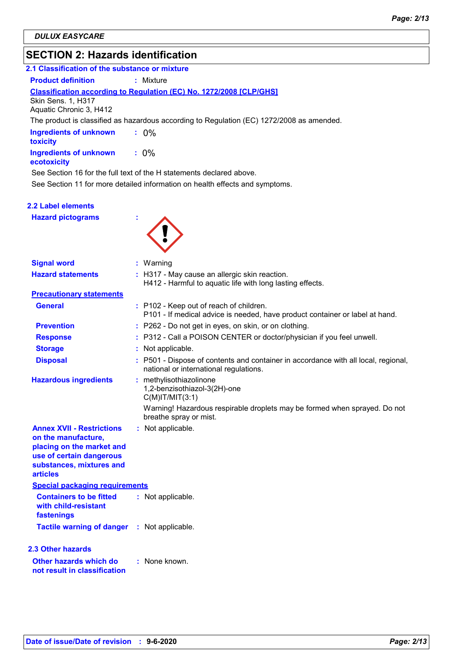# **SECTION 2: Hazards identification**

| 2.1 Classification of the substance or mixture                                                                                                                  |                                                                                                                            |
|-----------------------------------------------------------------------------------------------------------------------------------------------------------------|----------------------------------------------------------------------------------------------------------------------------|
| <b>Product definition</b>                                                                                                                                       | : Mixture                                                                                                                  |
| Skin Sens. 1, H317<br>Aquatic Chronic 3, H412                                                                                                                   | Classification according to Regulation (EC) No. 1272/2008 [CLP/GHS]                                                        |
|                                                                                                                                                                 | The product is classified as hazardous according to Regulation (EC) 1272/2008 as amended.                                  |
| <b>Ingredients of unknown</b><br>toxicity                                                                                                                       | $: 0\%$                                                                                                                    |
| <b>Ingredients of unknown</b><br>ecotoxicity                                                                                                                    | $: 0\%$                                                                                                                    |
|                                                                                                                                                                 | See Section 16 for the full text of the H statements declared above.                                                       |
|                                                                                                                                                                 | See Section 11 for more detailed information on health effects and symptoms.                                               |
| <b>2.2 Label elements</b>                                                                                                                                       |                                                                                                                            |
| <b>Hazard pictograms</b>                                                                                                                                        |                                                                                                                            |
| <b>Signal word</b>                                                                                                                                              | : Warning                                                                                                                  |
| <b>Hazard statements</b>                                                                                                                                        | : H317 - May cause an allergic skin reaction.<br>H412 - Harmful to aquatic life with long lasting effects.                 |
| <b>Precautionary statements</b>                                                                                                                                 |                                                                                                                            |
| <b>General</b>                                                                                                                                                  | : P102 - Keep out of reach of children.<br>P101 - If medical advice is needed, have product container or label at hand.    |
| <b>Prevention</b>                                                                                                                                               | : P262 - Do not get in eyes, on skin, or on clothing.                                                                      |
| <b>Response</b>                                                                                                                                                 | : P312 - Call a POISON CENTER or doctor/physician if you feel unwell.                                                      |
| <b>Storage</b>                                                                                                                                                  | Not applicable.                                                                                                            |
| <b>Disposal</b>                                                                                                                                                 | P501 - Dispose of contents and container in accordance with all local, regional,<br>national or international regulations. |
| <b>Hazardous ingredients</b>                                                                                                                                    | : methylisothiazolinone<br>1,2-benzisothiazol-3(2H)-one<br>$C(M)$ IT/MIT $(3:1)$                                           |
|                                                                                                                                                                 | Warning! Hazardous respirable droplets may be formed when sprayed. Do not<br>breathe spray or mist.                        |
| <b>Annex XVII - Restrictions</b><br>on the manufacture,<br>placing on the market and<br>use of certain dangerous<br>substances, mixtures and<br><b>articles</b> | : Not applicable.                                                                                                          |
| <b>Special packaging requirements</b>                                                                                                                           |                                                                                                                            |
| <b>Containers to be fitted</b><br>with child-resistant<br>fastenings                                                                                            | : Not applicable.                                                                                                          |
| Tactile warning of danger : Not applicable.                                                                                                                     |                                                                                                                            |

#### **2.3 Other hazards**

**Other hazards which do : not result in classification** : None known.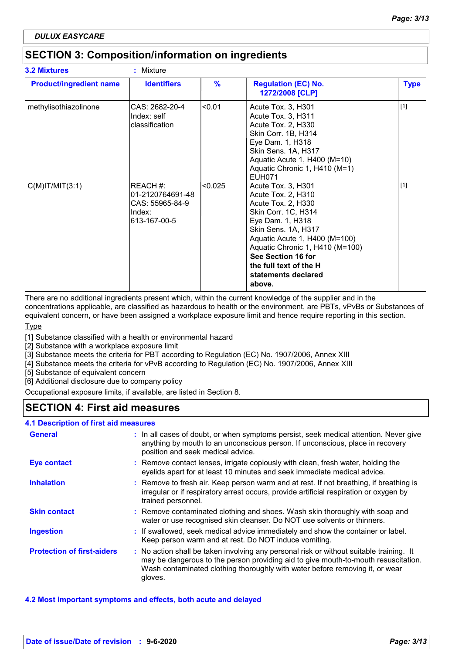### **SECTION 3: Composition/information on ingredients**

| <b>3.2 Mixtures</b>            | : Mixture                                                                 |               |                                                                                                                                                                                                                                                                                       |             |
|--------------------------------|---------------------------------------------------------------------------|---------------|---------------------------------------------------------------------------------------------------------------------------------------------------------------------------------------------------------------------------------------------------------------------------------------|-------------|
| <b>Product/ingredient name</b> | <b>Identifiers</b>                                                        | $\frac{9}{6}$ | <b>Regulation (EC) No.</b><br>1272/2008 [CLP]                                                                                                                                                                                                                                         | <b>Type</b> |
| methylisothiazolinone          | CAS: 2682-20-4<br>Index: self<br>classification                           | < 0.01        | Acute Tox. 3, H301<br>Acute Tox. 3, H311<br>Acute Tox. 2, H330<br>Skin Corr. 1B, H314<br>Eye Dam. 1, H318<br>Skin Sens. 1A, H317<br>Aquatic Acute 1, H400 (M=10)<br>Aquatic Chronic 1, H410 (M=1)<br>EUH071                                                                           | $[1]$       |
| $C(M)$ IT/MIT $(3:1)$          | REACH #:<br>01-2120764691-48<br>CAS: 55965-84-9<br>Index:<br>613-167-00-5 | < 0.025       | Acute Tox. 3, H301<br>Acute Tox. 2, H310<br>Acute Tox. 2, H330<br>Skin Corr. 1C, H314<br>Eye Dam. 1, H318<br>Skin Sens. 1A, H317<br>Aquatic Acute 1, H400 (M=100)<br>Aquatic Chronic 1, H410 (M=100)<br>See Section 16 for<br>the full text of the H<br>statements declared<br>above. | $[1]$       |

There are no additional ingredients present which, within the current knowledge of the supplier and in the

concentrations applicable, are classified as hazardous to health or the environment, are PBTs, vPvBs or Substances of equivalent concern, or have been assigned a workplace exposure limit and hence require reporting in this section.

**Type** 

[1] Substance classified with a health or environmental hazard

[2] Substance with a workplace exposure limit

[3] Substance meets the criteria for PBT according to Regulation (EC) No. 1907/2006, Annex XIII

[4] Substance meets the criteria for vPvB according to Regulation (EC) No. 1907/2006, Annex XIII

[5] Substance of equivalent concern

[6] Additional disclosure due to company policy

Occupational exposure limits, if available, are listed in Section 8.

### **SECTION 4: First aid measures**

| 4.1 Description of first aid measures |                                                                                                                                                                                                                                                                          |
|---------------------------------------|--------------------------------------------------------------------------------------------------------------------------------------------------------------------------------------------------------------------------------------------------------------------------|
| <b>General</b>                        | : In all cases of doubt, or when symptoms persist, seek medical attention. Never give<br>anything by mouth to an unconscious person. If unconscious, place in recovery<br>position and seek medical advice.                                                              |
| <b>Eye contact</b>                    | : Remove contact lenses, irrigate copiously with clean, fresh water, holding the<br>eyelids apart for at least 10 minutes and seek immediate medical advice.                                                                                                             |
| <b>Inhalation</b>                     | : Remove to fresh air. Keep person warm and at rest. If not breathing, if breathing is<br>irregular or if respiratory arrest occurs, provide artificial respiration or oxygen by<br>trained personnel.                                                                   |
| <b>Skin contact</b>                   | : Remove contaminated clothing and shoes. Wash skin thoroughly with soap and<br>water or use recognised skin cleanser. Do NOT use solvents or thinners.                                                                                                                  |
| <b>Ingestion</b>                      | : If swallowed, seek medical advice immediately and show the container or label.<br>Keep person warm and at rest. Do NOT induce vomiting.                                                                                                                                |
| <b>Protection of first-aiders</b>     | : No action shall be taken involving any personal risk or without suitable training. It<br>may be dangerous to the person providing aid to give mouth-to-mouth resuscitation.<br>Wash contaminated clothing thoroughly with water before removing it, or wear<br>gloves. |

#### **4.2 Most important symptoms and effects, both acute and delayed**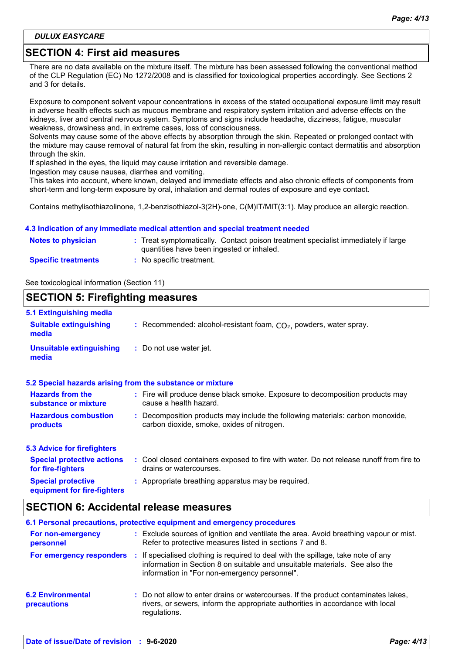*DULUX EASYCARE*

### **SECTION 4: First aid measures**

There are no data available on the mixture itself. The mixture has been assessed following the conventional method of the CLP Regulation (EC) No 1272/2008 and is classified for toxicological properties accordingly. See Sections 2 and 3 for details.

Exposure to component solvent vapour concentrations in excess of the stated occupational exposure limit may result in adverse health effects such as mucous membrane and respiratory system irritation and adverse effects on the kidneys, liver and central nervous system. Symptoms and signs include headache, dizziness, fatigue, muscular weakness, drowsiness and, in extreme cases, loss of consciousness.

Solvents may cause some of the above effects by absorption through the skin. Repeated or prolonged contact with the mixture may cause removal of natural fat from the skin, resulting in non-allergic contact dermatitis and absorption through the skin.

If splashed in the eyes, the liquid may cause irritation and reversible damage.

Ingestion may cause nausea, diarrhea and vomiting.

This takes into account, where known, delayed and immediate effects and also chronic effects of components from short-term and long-term exposure by oral, inhalation and dermal routes of exposure and eye contact.

Contains methylisothiazolinone, 1,2-benzisothiazol-3(2H)-one, C(M)IT/MIT(3:1). May produce an allergic reaction.

#### **4.3 Indication of any immediate medical attention and special treatment needed**

| <b>Notes to physician</b>  | : Treat symptomatically. Contact poison treatment specialist immediately if large<br>quantities have been ingested or inhaled. |
|----------------------------|--------------------------------------------------------------------------------------------------------------------------------|
| <b>Specific treatments</b> | No specific treatment.                                                                                                         |

See toxicological information (Section 11)

#### **SECTION 5: Firefighting measures** Recommended: alcohol-resistant foam, CO₂, powders, water spray. **: :** Do not use water jet. **Hazardous combustion products Hazards from the substance or mixture Special protective equipment for fire-fighters 5.1 Extinguishing media :** Fire will produce dense black smoke. Exposure to decomposition products may **:** Decomposition products may include the following materials: carbon monoxide, **:** Appropriate breathing apparatus may be required. **Suitable extinguishing media Unsuitable extinguishing media 5.2 Special hazards arising from the substance or mixture 5.3 Advice for firefighters Special protective actions for fire-fighters :** Cool closed containers exposed to fire with water. Do not release runoff from fire to cause a health hazard. drains or watercourses. carbon dioxide, smoke, oxides of nitrogen.

### **SECTION 6: Accidental release measures**

|                                                | 6.1 Personal precautions, protective equipment and emergency procedures                                                                                                                                              |
|------------------------------------------------|----------------------------------------------------------------------------------------------------------------------------------------------------------------------------------------------------------------------|
| For non-emergency<br>personnel                 | : Exclude sources of ignition and ventilate the area. Avoid breathing vapour or mist.<br>Refer to protective measures listed in sections 7 and 8.                                                                    |
| For emergency responders                       | If specialised clothing is required to deal with the spillage, take note of any<br>÷<br>information in Section 8 on suitable and unsuitable materials. See also the<br>information in "For non-emergency personnel". |
| <b>6.2 Environmental</b><br><b>precautions</b> | : Do not allow to enter drains or watercourses. If the product contaminates lakes,<br>rivers, or sewers, inform the appropriate authorities in accordance with local<br>regulations.                                 |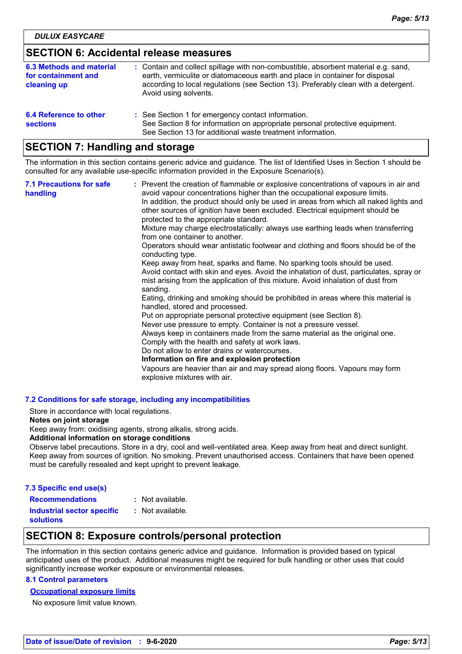### **SECTION 6: Accidental release measures**

| 6.3 Methods and material<br>for containment and<br>cleaning up | : Contain and collect spillage with non-combustible, absorbent material e.g. sand,<br>earth, vermiculite or diatomaceous earth and place in container for disposal<br>according to local regulations (see Section 13). Preferably clean with a detergent.<br>Avoid using solvents. |
|----------------------------------------------------------------|------------------------------------------------------------------------------------------------------------------------------------------------------------------------------------------------------------------------------------------------------------------------------------|
| 6.4 Reference to other<br><b>sections</b>                      | : See Section 1 for emergency contact information.<br>See Section 8 for information on appropriate personal protective equipment.<br>See Section 13 for additional waste treatment information.                                                                                    |

### **SECTION 7: Handling and storage**

The information in this section contains generic advice and guidance. The list of Identified Uses in Section 1 should be consulted for any available use-specific information provided in the Exposure Scenario(s).

| <b>7.1 Precautions for safe</b><br>handling | : Prevent the creation of flammable or explosive concentrations of vapours in air and<br>avoid vapour concentrations higher than the occupational exposure limits.<br>In addition, the product should only be used in areas from which all naked lights and<br>other sources of ignition have been excluded. Electrical equipment should be<br>protected to the appropriate standard.<br>Mixture may charge electrostatically: always use earthing leads when transferring<br>from one container to another.<br>Operators should wear antistatic footwear and clothing and floors should be of the<br>conducting type.<br>Keep away from heat, sparks and flame. No sparking tools should be used.<br>Avoid contact with skin and eyes. Avoid the inhalation of dust, particulates, spray or<br>mist arising from the application of this mixture. Avoid inhalation of dust from<br>sanding.<br>Eating, drinking and smoking should be prohibited in areas where this material is<br>handled, stored and processed.<br>Put on appropriate personal protective equipment (see Section 8).<br>Never use pressure to empty. Container is not a pressure vessel.<br>Always keep in containers made from the same material as the original one.<br>Comply with the health and safety at work laws.<br>Do not allow to enter drains or watercourses.<br>Information on fire and explosion protection<br>Vapours are heavier than air and may spread along floors. Vapours may form<br>explosive mixtures with air. |
|---------------------------------------------|--------------------------------------------------------------------------------------------------------------------------------------------------------------------------------------------------------------------------------------------------------------------------------------------------------------------------------------------------------------------------------------------------------------------------------------------------------------------------------------------------------------------------------------------------------------------------------------------------------------------------------------------------------------------------------------------------------------------------------------------------------------------------------------------------------------------------------------------------------------------------------------------------------------------------------------------------------------------------------------------------------------------------------------------------------------------------------------------------------------------------------------------------------------------------------------------------------------------------------------------------------------------------------------------------------------------------------------------------------------------------------------------------------------------------------------------------------------------------------------------------------------|
|---------------------------------------------|--------------------------------------------------------------------------------------------------------------------------------------------------------------------------------------------------------------------------------------------------------------------------------------------------------------------------------------------------------------------------------------------------------------------------------------------------------------------------------------------------------------------------------------------------------------------------------------------------------------------------------------------------------------------------------------------------------------------------------------------------------------------------------------------------------------------------------------------------------------------------------------------------------------------------------------------------------------------------------------------------------------------------------------------------------------------------------------------------------------------------------------------------------------------------------------------------------------------------------------------------------------------------------------------------------------------------------------------------------------------------------------------------------------------------------------------------------------------------------------------------------------|

#### **7.2 Conditions for safe storage, including any incompatibilities**

Store in accordance with local regulations.

#### **Notes on joint storage**

Keep away from: oxidising agents, strong alkalis, strong acids.

#### **Additional information on storage conditions**

Observe label precautions. Store in a dry, cool and well-ventilated area. Keep away from heat and direct sunlight. Keep away from sources of ignition. No smoking. Prevent unauthorised access. Containers that have been opened must be carefully resealed and kept upright to prevent leakage.

| 7.3 Specific end use(s)           |                    |
|-----------------------------------|--------------------|
| <b>Recommendations</b>            | $:$ Not available. |
| <b>Industrial sector specific</b> | : Not available.   |
| <b>solutions</b>                  |                    |

### **SECTION 8: Exposure controls/personal protection**

The information in this section contains generic advice and guidance. Information is provided based on typical anticipated uses of the product. Additional measures might be required for bulk handling or other uses that could significantly increase worker exposure or environmental releases.

#### **8.1 Control parameters**

#### **Occupational exposure limits**

No exposure limit value known.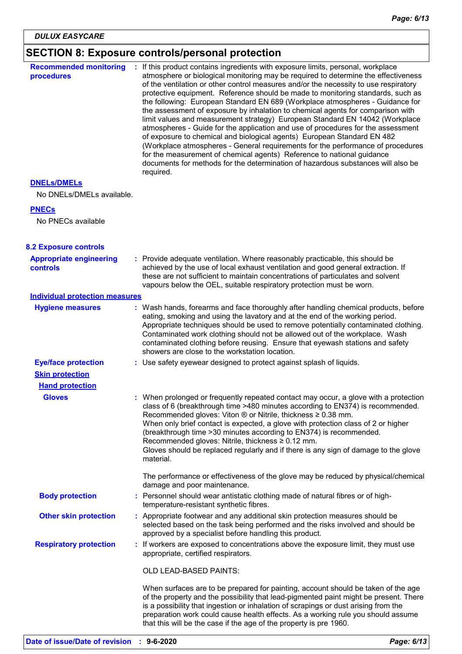# **SECTION 8: Exposure controls/personal protection**

| <b>Recommended monitoring</b><br>procedures       | : If this product contains ingredients with exposure limits, personal, workplace<br>atmosphere or biological monitoring may be required to determine the effectiveness<br>of the ventilation or other control measures and/or the necessity to use respiratory<br>protective equipment. Reference should be made to monitoring standards, such as<br>the following: European Standard EN 689 (Workplace atmospheres - Guidance for<br>the assessment of exposure by inhalation to chemical agents for comparison with<br>limit values and measurement strategy) European Standard EN 14042 (Workplace<br>atmospheres - Guide for the application and use of procedures for the assessment<br>of exposure to chemical and biological agents) European Standard EN 482<br>(Workplace atmospheres - General requirements for the performance of procedures<br>for the measurement of chemical agents) Reference to national guidance<br>documents for methods for the determination of hazardous substances will also be<br>required. |
|---------------------------------------------------|------------------------------------------------------------------------------------------------------------------------------------------------------------------------------------------------------------------------------------------------------------------------------------------------------------------------------------------------------------------------------------------------------------------------------------------------------------------------------------------------------------------------------------------------------------------------------------------------------------------------------------------------------------------------------------------------------------------------------------------------------------------------------------------------------------------------------------------------------------------------------------------------------------------------------------------------------------------------------------------------------------------------------------|
| <b>DNELS/DMELS</b>                                |                                                                                                                                                                                                                                                                                                                                                                                                                                                                                                                                                                                                                                                                                                                                                                                                                                                                                                                                                                                                                                    |
| No DNELs/DMELs available.                         |                                                                                                                                                                                                                                                                                                                                                                                                                                                                                                                                                                                                                                                                                                                                                                                                                                                                                                                                                                                                                                    |
| <b>PNECs</b>                                      |                                                                                                                                                                                                                                                                                                                                                                                                                                                                                                                                                                                                                                                                                                                                                                                                                                                                                                                                                                                                                                    |
| No PNECs available                                |                                                                                                                                                                                                                                                                                                                                                                                                                                                                                                                                                                                                                                                                                                                                                                                                                                                                                                                                                                                                                                    |
| <b>8.2 Exposure controls</b>                      |                                                                                                                                                                                                                                                                                                                                                                                                                                                                                                                                                                                                                                                                                                                                                                                                                                                                                                                                                                                                                                    |
| <b>Appropriate engineering</b><br><b>controls</b> | : Provide adequate ventilation. Where reasonably practicable, this should be<br>achieved by the use of local exhaust ventilation and good general extraction. If<br>these are not sufficient to maintain concentrations of particulates and solvent<br>vapours below the OEL, suitable respiratory protection must be worn.                                                                                                                                                                                                                                                                                                                                                                                                                                                                                                                                                                                                                                                                                                        |
| <b>Individual protection measures</b>             |                                                                                                                                                                                                                                                                                                                                                                                                                                                                                                                                                                                                                                                                                                                                                                                                                                                                                                                                                                                                                                    |
| <b>Hygiene measures</b>                           | : Wash hands, forearms and face thoroughly after handling chemical products, before<br>eating, smoking and using the lavatory and at the end of the working period.<br>Appropriate techniques should be used to remove potentially contaminated clothing.<br>Contaminated work clothing should not be allowed out of the workplace. Wash<br>contaminated clothing before reusing. Ensure that eyewash stations and safety<br>showers are close to the workstation location.                                                                                                                                                                                                                                                                                                                                                                                                                                                                                                                                                        |
| <b>Eye/face protection</b>                        | : Use safety eyewear designed to protect against splash of liquids.                                                                                                                                                                                                                                                                                                                                                                                                                                                                                                                                                                                                                                                                                                                                                                                                                                                                                                                                                                |
| <b>Skin protection</b>                            |                                                                                                                                                                                                                                                                                                                                                                                                                                                                                                                                                                                                                                                                                                                                                                                                                                                                                                                                                                                                                                    |
| <b>Hand protection</b>                            |                                                                                                                                                                                                                                                                                                                                                                                                                                                                                                                                                                                                                                                                                                                                                                                                                                                                                                                                                                                                                                    |
| <b>Gloves</b>                                     | : When prolonged or frequently repeated contact may occur, a glove with a protection<br>class of 6 (breakthrough time >480 minutes according to EN374) is recommended.<br>Recommended gloves: Viton $\circledR$ or Nitrile, thickness $\geq 0.38$ mm.<br>When only brief contact is expected, a glove with protection class of 2 or higher<br>(breakthrough time > 30 minutes according to EN374) is recommended.<br>Recommended gloves: Nitrile, thickness ≥ 0.12 mm.<br>Gloves should be replaced regularly and if there is any sign of damage to the glove<br>material.                                                                                                                                                                                                                                                                                                                                                                                                                                                         |
|                                                   | The performance or effectiveness of the glove may be reduced by physical/chemical<br>damage and poor maintenance.                                                                                                                                                                                                                                                                                                                                                                                                                                                                                                                                                                                                                                                                                                                                                                                                                                                                                                                  |
| <b>Body protection</b>                            | : Personnel should wear antistatic clothing made of natural fibres or of high-<br>temperature-resistant synthetic fibres.                                                                                                                                                                                                                                                                                                                                                                                                                                                                                                                                                                                                                                                                                                                                                                                                                                                                                                          |
| <b>Other skin protection</b>                      | : Appropriate footwear and any additional skin protection measures should be<br>selected based on the task being performed and the risks involved and should be<br>approved by a specialist before handling this product.                                                                                                                                                                                                                                                                                                                                                                                                                                                                                                                                                                                                                                                                                                                                                                                                          |
| <b>Respiratory protection</b>                     | : If workers are exposed to concentrations above the exposure limit, they must use<br>appropriate, certified respirators.                                                                                                                                                                                                                                                                                                                                                                                                                                                                                                                                                                                                                                                                                                                                                                                                                                                                                                          |
|                                                   | OLD LEAD-BASED PAINTS:                                                                                                                                                                                                                                                                                                                                                                                                                                                                                                                                                                                                                                                                                                                                                                                                                                                                                                                                                                                                             |
|                                                   | When surfaces are to be prepared for painting, account should be taken of the age<br>of the property and the possibility that lead-pigmented paint might be present. There<br>is a possibility that ingestion or inhalation of scrapings or dust arising from the<br>preparation work could cause health effects. As a working rule you should assume                                                                                                                                                                                                                                                                                                                                                                                                                                                                                                                                                                                                                                                                              |

that this will be the case if the age of the property is pre 1960.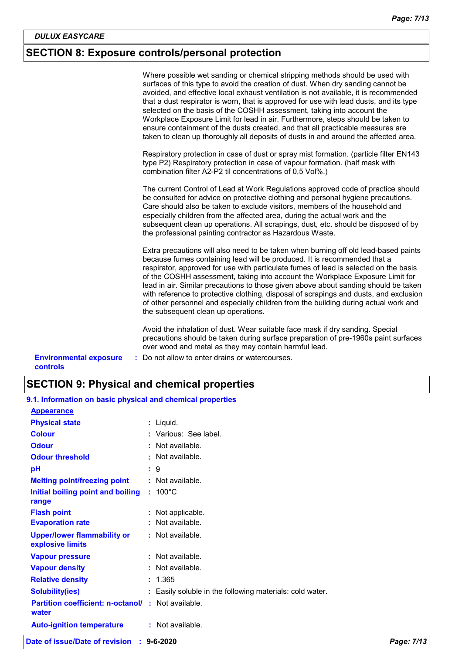### **SECTION 8: Exposure controls/personal protection**

|                                                  | Where possible wet sanding or chemical stripping methods should be used with<br>surfaces of this type to avoid the creation of dust. When dry sanding cannot be<br>avoided, and effective local exhaust ventilation is not available, it is recommended<br>that a dust respirator is worn, that is approved for use with lead dusts, and its type<br>selected on the basis of the COSHH assessment, taking into account the<br>Workplace Exposure Limit for lead in air. Furthermore, steps should be taken to<br>ensure containment of the dusts created, and that all practicable measures are<br>taken to clean up thoroughly all deposits of dusts in and around the affected area.<br>Respiratory protection in case of dust or spray mist formation. (particle filter EN143<br>type P2) Respiratory protection in case of vapour formation. (half mask with<br>combination filter A2-P2 til concentrations of 0,5 Vol%.) |
|--------------------------------------------------|--------------------------------------------------------------------------------------------------------------------------------------------------------------------------------------------------------------------------------------------------------------------------------------------------------------------------------------------------------------------------------------------------------------------------------------------------------------------------------------------------------------------------------------------------------------------------------------------------------------------------------------------------------------------------------------------------------------------------------------------------------------------------------------------------------------------------------------------------------------------------------------------------------------------------------|
|                                                  | The current Control of Lead at Work Regulations approved code of practice should<br>be consulted for advice on protective clothing and personal hygiene precautions.<br>Care should also be taken to exclude visitors, members of the household and<br>especially children from the affected area, during the actual work and the<br>subsequent clean up operations. All scrapings, dust, etc. should be disposed of by<br>the professional painting contractor as Hazardous Waste.                                                                                                                                                                                                                                                                                                                                                                                                                                            |
|                                                  | Extra precautions will also need to be taken when burning off old lead-based paints<br>because fumes containing lead will be produced. It is recommended that a<br>respirator, approved for use with particulate fumes of lead is selected on the basis<br>of the COSHH assessment, taking into account the Workplace Exposure Limit for<br>lead in air. Similar precautions to those given above about sanding should be taken<br>with reference to protective clothing, disposal of scrapings and dusts, and exclusion<br>of other personnel and especially children from the building during actual work and<br>the subsequent clean up operations.                                                                                                                                                                                                                                                                         |
|                                                  | Avoid the inhalation of dust. Wear suitable face mask if dry sanding. Special<br>precautions should be taken during surface preparation of pre-1960s paint surfaces<br>over wood and metal as they may contain harmful lead.                                                                                                                                                                                                                                                                                                                                                                                                                                                                                                                                                                                                                                                                                                   |
| <b>Environmental exposure</b><br><b>controls</b> | : Do not allow to enter drains or watercourses.                                                                                                                                                                                                                                                                                                                                                                                                                                                                                                                                                                                                                                                                                                                                                                                                                                                                                |

## **SECTION 9: Physical and chemical properties**

| 9.1. Information on basic physical and chemical properties |    |                                                          |
|------------------------------------------------------------|----|----------------------------------------------------------|
| <b>Appearance</b>                                          |    |                                                          |
| <b>Physical state</b>                                      |    | : Liquid.                                                |
| <b>Colour</b>                                              |    | : Various: See label.                                    |
| <b>Odour</b>                                               |    | Not available.                                           |
| <b>Odour threshold</b>                                     |    | : Not available.                                         |
| рH                                                         | t. | -9                                                       |
| <b>Melting point/freezing point</b>                        |    | : Not available.                                         |
| <b>Initial boiling point and boiling</b><br>range          |    | $: 100^{\circ}$ C                                        |
| <b>Flash point</b>                                         | ÷  | Not applicable.                                          |
| <b>Evaporation rate</b>                                    |    | : Not available.                                         |
| <b>Upper/lower flammability or</b><br>explosive limits     |    | : Not available.                                         |
| <b>Vapour pressure</b>                                     |    | : Not available.                                         |
| <b>Vapour density</b>                                      |    | $:$ Not available.                                       |
| <b>Relative density</b>                                    |    | : 1.365                                                  |
| <b>Solubility(ies)</b>                                     |    | : Easily soluble in the following materials: cold water. |
| <b>Partition coefficient: n-octanol/</b><br>water          |    | $:$ Not available.                                       |
| <b>Auto-ignition temperature</b>                           |    | $:$ Not available.                                       |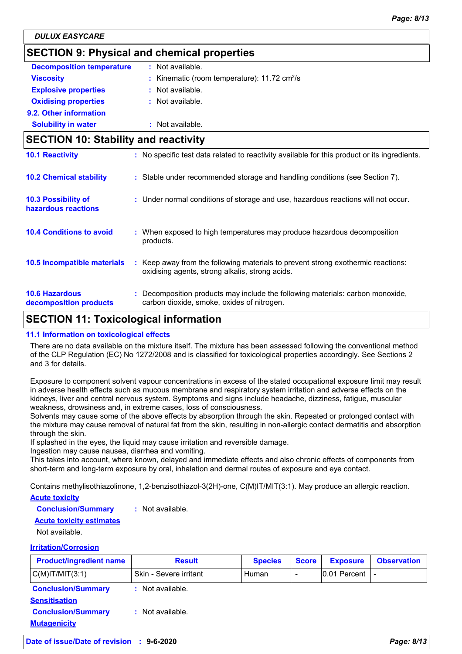### **SECTION 9: Physical and chemical properties**

| <b>Decomposition temperature</b> | : Not available.                                              |
|----------------------------------|---------------------------------------------------------------|
| <b>Viscosity</b>                 | : Kinematic (room temperature): $11.72 \text{ cm}^2/\text{s}$ |
| <b>Explosive properties</b>      | : Not available.                                              |
| <b>Oxidising properties</b>      | : Not available.                                              |
| 9.2. Other information           |                                                               |
| <b>Solubility in water</b>       | : Not available.                                              |

| <b>SECTION 10: Stability and reactivity</b>     |                                                                                                                                     |  |
|-------------------------------------------------|-------------------------------------------------------------------------------------------------------------------------------------|--|
| <b>10.1 Reactivity</b>                          | : No specific test data related to reactivity available for this product or its ingredients.                                        |  |
| <b>10.2 Chemical stability</b>                  | : Stable under recommended storage and handling conditions (see Section 7).                                                         |  |
| 10.3 Possibility of<br>hazardous reactions      | : Under normal conditions of storage and use, hazardous reactions will not occur.                                                   |  |
| <b>10.4 Conditions to avoid</b>                 | : When exposed to high temperatures may produce hazardous decomposition<br>products.                                                |  |
| 10.5 Incompatible materials                     | : Keep away from the following materials to prevent strong exothermic reactions:<br>oxidising agents, strong alkalis, strong acids. |  |
| <b>10.6 Hazardous</b><br>decomposition products | : Decomposition products may include the following materials: carbon monoxide,<br>carbon dioxide, smoke, oxides of nitrogen.        |  |
|                                                 |                                                                                                                                     |  |

### **SECTION 11: Toxicological information**

#### **11.1 Information on toxicological effects**

There are no data available on the mixture itself. The mixture has been assessed following the conventional method of the CLP Regulation (EC) No 1272/2008 and is classified for toxicological properties accordingly. See Sections 2 and 3 for details.

Exposure to component solvent vapour concentrations in excess of the stated occupational exposure limit may result in adverse health effects such as mucous membrane and respiratory system irritation and adverse effects on the kidneys, liver and central nervous system. Symptoms and signs include headache, dizziness, fatigue, muscular weakness, drowsiness and, in extreme cases, loss of consciousness.

Solvents may cause some of the above effects by absorption through the skin. Repeated or prolonged contact with the mixture may cause removal of natural fat from the skin, resulting in non-allergic contact dermatitis and absorption through the skin.

If splashed in the eyes, the liquid may cause irritation and reversible damage.

Ingestion may cause nausea, diarrhea and vomiting.

This takes into account, where known, delayed and immediate effects and also chronic effects of components from short-term and long-term exposure by oral, inhalation and dermal routes of exposure and eye contact.

Contains methylisothiazolinone, 1,2-benzisothiazol-3(2H)-one, C(M)IT/MIT(3:1). May produce an allergic reaction.

#### **Acute toxicity**

**Conclusion/Summary :** Not available.

#### **Acute toxicity estimates**

Not available.

#### **Irritation/Corrosion**

| <b>Product/ingredient name</b> | <b>Result</b>          | <b>Species</b> | <b>Score</b> | <b>Exposure</b> | <b>Observation</b> |
|--------------------------------|------------------------|----------------|--------------|-----------------|--------------------|
| $C(M)$ IT/MIT $(3:1)$          | Skin - Severe irritant | Human          |              | 10.01 Percent   |                    |
| <b>Conclusion/Summary</b>      | : Not available.       |                |              |                 |                    |
| <b>Sensitisation</b>           |                        |                |              |                 |                    |
| <b>Conclusion/Summary</b>      | $:$ Not available.     |                |              |                 |                    |
| <b>Mutagenicity</b>            |                        |                |              |                 |                    |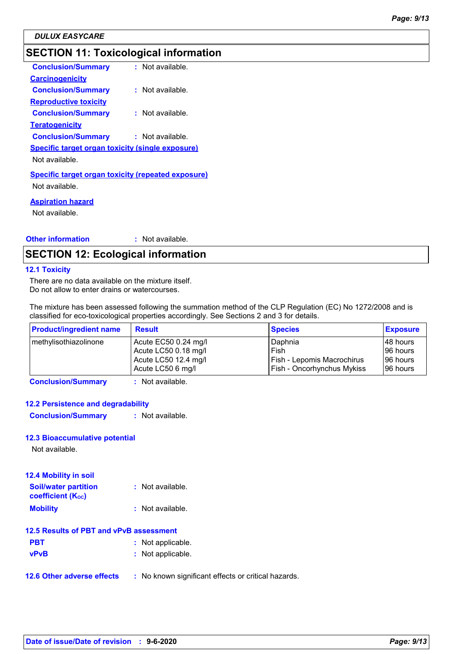## **SECTION 11: Toxicological information**

| <b>Conclusion/Summary</b>                                 | : Not available. |
|-----------------------------------------------------------|------------------|
| <b>Carcinogenicity</b>                                    |                  |
| <b>Conclusion/Summary</b>                                 | : Not available. |
| <b>Reproductive toxicity</b>                              |                  |
| <b>Conclusion/Summary</b>                                 | : Not available. |
| Teratogenicity                                            |                  |
| <b>Conclusion/Summary</b>                                 | : Not available. |
| <b>Specific target organ toxicity (single exposure)</b>   |                  |
| Not available.                                            |                  |
| <b>Specific target organ toxicity (repeated exposure)</b> |                  |
| Not available.                                            |                  |
| <b>Aspiration hazard</b>                                  |                  |
| Not available.                                            |                  |
|                                                           |                  |
|                                                           |                  |

#### **Other information :**

### **SECTION 12: Ecological information**

: Not available.

#### **12.1 Toxicity**

There are no data available on the mixture itself. Do not allow to enter drains or watercourses.

The mixture has been assessed following the summation method of the CLP Regulation (EC) No 1272/2008 and is classified for eco-toxicological properties accordingly. See Sections 2 and 3 for details.

| <b>Product/ingredient name</b> | <b>Result</b>        | <b>Species</b>                    | <b>Exposure</b> |
|--------------------------------|----------------------|-----------------------------------|-----------------|
| methylisothiazolinone          | Acute EC50 0.24 mg/l | Daphnia                           | 48 hours        |
|                                | Acute LC50 0.18 mg/l | Fish                              | 96 hours        |
|                                | Acute LC50 12.4 mg/l | Fish - Lepomis Macrochirus        | 96 hours        |
|                                | Acute LC50 6 mg/l    | <b>Fish - Oncorhynchus Mykiss</b> | 96 hours        |

**Conclusion/Summary :** Not available.

#### **12.2 Persistence and degradability**

**Conclusion/Summary :** Not available.

#### **12.3 Bioaccumulative potential**

Not available.

| <b>12.4 Mobility in soil</b>          |                  |
|---------------------------------------|------------------|
| <b>Soil/water partition</b>           | : Not available. |
| <b>coefficient</b> (K <sub>oc</sub> ) |                  |
| <b>Mobility</b>                       | : Not available. |

#### **12.5 Results of PBT and vPvB assessment**

| <b>PBT</b>  | : Not applicable. |
|-------------|-------------------|
| <b>vPvB</b> | : Not applicable. |

**12.6 Other adverse effects** : No known significant effects or critical hazards.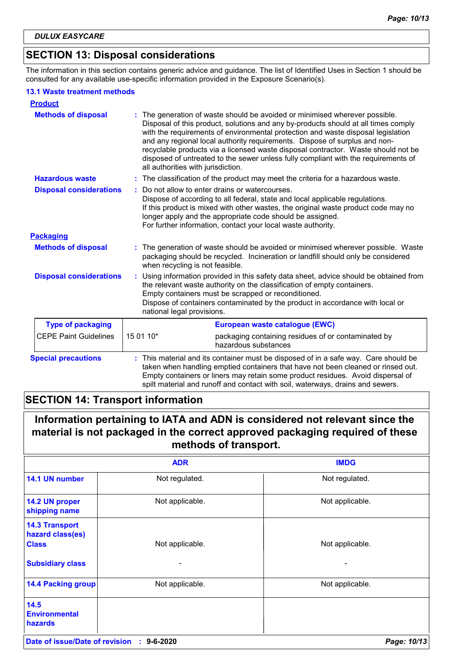### **SECTION 13: Disposal considerations**

The information in this section contains generic advice and guidance. The list of Identified Uses in Section 1 should be consulted for any available use-specific information provided in the Exposure Scenario(s).

#### **13.1 Waste treatment methods**

| <b>Product</b>                 |                                                                                                                                                                                                                                                                                                                                                                                                                                                                                                                                                    |                                                                                                                                                                                                                                                  |  |
|--------------------------------|----------------------------------------------------------------------------------------------------------------------------------------------------------------------------------------------------------------------------------------------------------------------------------------------------------------------------------------------------------------------------------------------------------------------------------------------------------------------------------------------------------------------------------------------------|--------------------------------------------------------------------------------------------------------------------------------------------------------------------------------------------------------------------------------------------------|--|
| <b>Methods of disposal</b>     | The generation of waste should be avoided or minimised wherever possible.<br>Disposal of this product, solutions and any by-products should at all times comply<br>with the requirements of environmental protection and waste disposal legislation<br>and any regional local authority requirements. Dispose of surplus and non-<br>recyclable products via a licensed waste disposal contractor. Waste should not be<br>disposed of untreated to the sewer unless fully compliant with the requirements of<br>all authorities with jurisdiction. |                                                                                                                                                                                                                                                  |  |
| <b>Hazardous waste</b>         | : The classification of the product may meet the criteria for a hazardous waste.                                                                                                                                                                                                                                                                                                                                                                                                                                                                   |                                                                                                                                                                                                                                                  |  |
| <b>Disposal considerations</b> | Do not allow to enter drains or watercourses.<br>For further information, contact your local waste authority.                                                                                                                                                                                                                                                                                                                                                                                                                                      | Dispose of according to all federal, state and local applicable regulations.<br>If this product is mixed with other wastes, the original waste product code may no<br>longer apply and the appropriate code should be assigned.                  |  |
| <b>Packaging</b>               |                                                                                                                                                                                                                                                                                                                                                                                                                                                                                                                                                    |                                                                                                                                                                                                                                                  |  |
| <b>Methods of disposal</b>     | : The generation of waste should be avoided or minimised wherever possible. Waste<br>packaging should be recycled. Incineration or landfill should only be considered<br>when recycling is not feasible.                                                                                                                                                                                                                                                                                                                                           |                                                                                                                                                                                                                                                  |  |
| <b>Disposal considerations</b> | Empty containers must be scrapped or reconditioned.<br>national legal provisions.                                                                                                                                                                                                                                                                                                                                                                                                                                                                  | Using information provided in this safety data sheet, advice should be obtained from<br>the relevant waste authority on the classification of empty containers.<br>Dispose of containers contaminated by the product in accordance with local or |  |
| <b>Type of packaging</b>       | European waste catalogue (EWC)                                                                                                                                                                                                                                                                                                                                                                                                                                                                                                                     |                                                                                                                                                                                                                                                  |  |
| <b>CEPE Paint Guidelines</b>   | 15 01 10*<br>packaging containing residues of or contaminated by<br>hazardous substances                                                                                                                                                                                                                                                                                                                                                                                                                                                           |                                                                                                                                                                                                                                                  |  |
| <b>Special precautions</b>     | This material and its container must be disposed of in a safe way. Care should be<br>taken when handling emptied containers that have not been cleaned or rinsed out.<br>Empty containers or liners may retain some product residues. Avoid dispersal of<br>spilt material and runoff and contact with soil, waterways, drains and sewers.                                                                                                                                                                                                         |                                                                                                                                                                                                                                                  |  |

### **SECTION 14: Transport information**

### **Information pertaining to IATA and ADN is considered not relevant since the material is not packaged in the correct approved packaging required of these methods of transport.**

|                                                           | <b>ADR</b>           | <b>IMDG</b>     |
|-----------------------------------------------------------|----------------------|-----------------|
| 14.1 UN number                                            | Not regulated.       | Not regulated.  |
| 14.2 UN proper<br>shipping name                           | Not applicable.      | Not applicable. |
| <b>14.3 Transport</b><br>hazard class(es)<br><b>Class</b> | Not applicable.      | Not applicable. |
| <b>Subsidiary class</b>                                   |                      |                 |
| <b>14.4 Packing group</b>                                 | Not applicable.      | Not applicable. |
| 14.5<br><b>Environmental</b><br><b>hazards</b>            |                      |                 |
| Date of issue/Date of revision                            | $9 - 6 - 2020$<br>÷. | Page: 10/13     |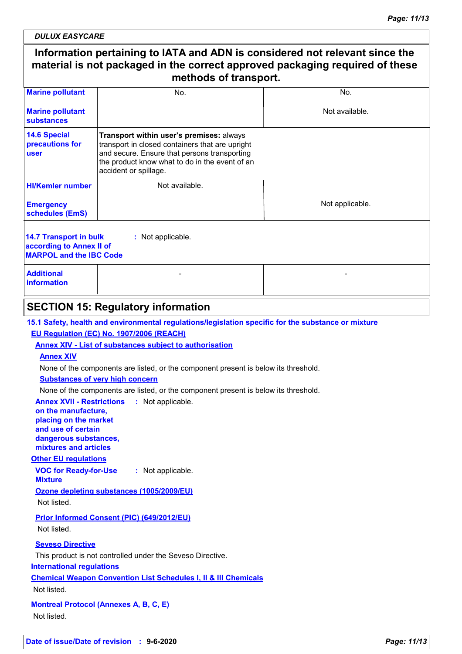*DULUX EASYCARE*

### **Information pertaining to IATA and ADN is considered not relevant since the material is not packaged in the correct approved packaging required of these methods of transport.**

| <b>Marine pollutant</b>                                                                                   | No.                                                                                                                                                                                                                    | No.             |  |  |
|-----------------------------------------------------------------------------------------------------------|------------------------------------------------------------------------------------------------------------------------------------------------------------------------------------------------------------------------|-----------------|--|--|
| <b>Marine pollutant</b><br>substances                                                                     |                                                                                                                                                                                                                        | Not available.  |  |  |
| 14.6 Special<br>precautions for<br><b>user</b>                                                            | Transport within user's premises: always<br>transport in closed containers that are upright<br>and secure. Ensure that persons transporting<br>the product know what to do in the event of an<br>accident or spillage. |                 |  |  |
| <b>HI/Kemler number</b>                                                                                   | Not available.                                                                                                                                                                                                         |                 |  |  |
| <b>Emergency</b><br>schedules (EmS)                                                                       |                                                                                                                                                                                                                        | Not applicable. |  |  |
| 14.7 Transport in bulk<br>: Not applicable.<br>according to Annex II of<br><b>MARPOL and the IBC Code</b> |                                                                                                                                                                                                                        |                 |  |  |
| <b>Additional</b><br>information                                                                          |                                                                                                                                                                                                                        |                 |  |  |
|                                                                                                           |                                                                                                                                                                                                                        |                 |  |  |

### **SECTION 15: Regulatory information**

### **15.1 Safety, health and environmental regulations/legislation specific for the substance or mixture**

#### **EU Regulation (EC) No. 1907/2006 (REACH)**

#### **Annex XIV - List of substances subject to authorisation**

#### **Annex XIV**

None of the components are listed, or the component present is below its threshold.

#### **Substances of very high concern**

None of the components are listed, or the component present is below its threshold.

#### **Annex XVII - Restrictions : Not applicable.**

**on the manufacture, placing on the market and use of certain dangerous substances, mixtures and articles**

#### **Other EU regulations**

**VOC for Ready-for-Use Mixture :** Not applicable.

**Ozone depleting substances (1005/2009/EU)**

Not listed.

### **Prior Informed Consent (PIC) (649/2012/EU)**

Not listed.

#### **Seveso Directive**

This product is not controlled under the Seveso Directive.

#### **International regulations**

**Chemical Weapon Convention List Schedules I, II & III Chemicals**

#### Not listed.

**Montreal Protocol (Annexes A, B, C, E)**

Not listed.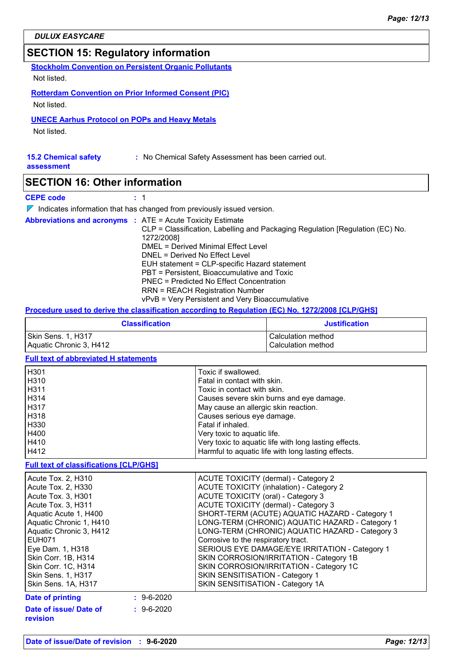### **SECTION 15: Regulatory information**

**Stockholm Convention on Persistent Organic Pollutants**

Not listed.

#### **Rotterdam Convention on Prior Informed Consent (PIC)** Not listed.

#### **UNECE Aarhus Protocol on POPs and Heavy Metals**

Not listed.

#### **15.2 Chemical safety :** No Chemical Safety Assessment has been carried out.

**assessment**

### **SECTION 16: Other information**

#### **CEPE code :** 1

#### $\nabla$  Indicates information that has changed from previously issued version.

|  | <b>Abbreviations and acronyms : ATE = Acute Toxicity Estimate</b><br>CLP = Classification, Labelling and Packaging Regulation [Regulation (EC) No.<br>1272/2008] |
|--|------------------------------------------------------------------------------------------------------------------------------------------------------------------|
|  | DMEL = Derived Minimal Effect Level<br>DNEL = Derived No Effect Level                                                                                            |
|  | EUH statement = CLP-specific Hazard statement                                                                                                                    |
|  | PBT = Persistent, Bioaccumulative and Toxic                                                                                                                      |
|  | <b>PNEC = Predicted No Effect Concentration</b>                                                                                                                  |
|  | <b>RRN = REACH Registration Number</b>                                                                                                                           |
|  | vPvB = Very Persistent and Very Bioaccumulative                                                                                                                  |

#### **Procedure used to derive the classification according to Regulation (EC) No. 1272/2008 [CLP/GHS]**

| <b>Classification</b>   | <b>Justification</b> |  |
|-------------------------|----------------------|--|
| Skin Sens. 1, H317      | Calculation method   |  |
| Aquatic Chronic 3, H412 | Calculation method   |  |

#### **Full text of abbreviated H statements**

| H301   | Toxic if swallowed.                                   |
|--------|-------------------------------------------------------|
| H310   | Fatal in contact with skin.                           |
| H311   | Toxic in contact with skin.                           |
| H314   | Causes severe skin burns and eye damage.              |
| l H317 | May cause an allergic skin reaction.                  |
| H318   | Causes serious eye damage.                            |
| H330   | Fatal if inhaled.                                     |
| H400   | Very toxic to aquatic life.                           |
| H410   | Very toxic to aquatic life with long lasting effects. |
| H412   | Harmful to aquatic life with long lasting effects.    |

#### **Full text of classifications [CLP/GHS]**

| Acute Tox. 2, H310      |                  | ACUTE TOXICITY (dermal) - Category 2            |
|-------------------------|------------------|-------------------------------------------------|
| Acute Tox. 2, H330      |                  | <b>ACUTE TOXICITY (inhalation) - Category 2</b> |
| Acute Tox. 3, H301      |                  | ACUTE TOXICITY (oral) - Category 3              |
| Acute Tox. 3, H311      |                  | ACUTE TOXICITY (dermal) - Category 3            |
| Aquatic Acute 1, H400   |                  | SHORT-TERM (ACUTE) AQUATIC HAZARD - Category 1  |
| Aquatic Chronic 1, H410 |                  | LONG-TERM (CHRONIC) AQUATIC HAZARD - Category 1 |
| Aquatic Chronic 3, H412 |                  | LONG-TERM (CHRONIC) AQUATIC HAZARD - Category 3 |
| EUH071                  |                  | Corrosive to the respiratory tract.             |
| Eye Dam. 1, H318        |                  | SERIOUS EYE DAMAGE/EYE IRRITATION - Category 1  |
| Skin Corr. 1B, H314     |                  | SKIN CORROSION/IRRITATION - Category 1B         |
| Skin Corr. 1C, H314     |                  | SKIN CORROSION/IRRITATION - Category 1C         |
| Skin Sens. 1, H317      |                  | SKIN SENSITISATION - Category 1                 |
| Skin Sens. 1A, H317     |                  | SKIN SENSITISATION - Category 1A                |
| Date of printing        | $\div$ 9-6-2020  |                                                 |
| Date of issue/ Date of  | $: 9 - 6 - 2020$ |                                                 |

#### **Date of issue/ Date of revision :**